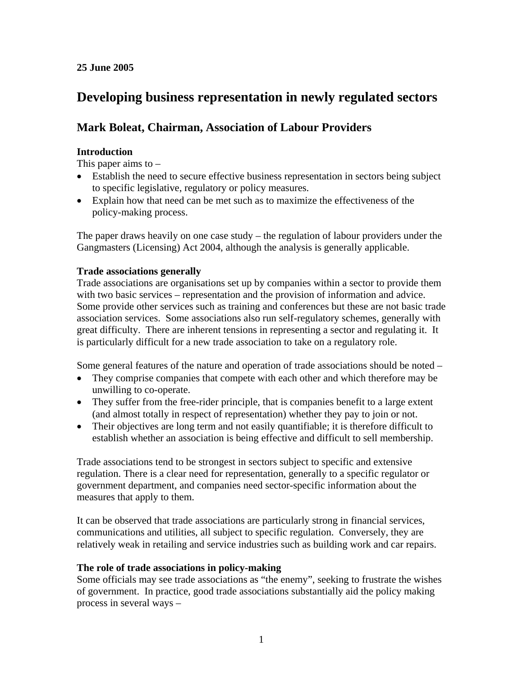# **25 June 2005**

# **Developing business representation in newly regulated sectors**

# **Mark Boleat, Chairman, Association of Labour Providers**

# **Introduction**

This paper aims to  $-$ 

- Establish the need to secure effective business representation in sectors being subject to specific legislative, regulatory or policy measures.
- Explain how that need can be met such as to maximize the effectiveness of the policy-making process.

The paper draws heavily on one case study – the regulation of labour providers under the Gangmasters (Licensing) Act 2004, although the analysis is generally applicable.

## **Trade associations generally**

Trade associations are organisations set up by companies within a sector to provide them with two basic services – representation and the provision of information and advice. Some provide other services such as training and conferences but these are not basic trade association services. Some associations also run self-regulatory schemes, generally with great difficulty. There are inherent tensions in representing a sector and regulating it. It is particularly difficult for a new trade association to take on a regulatory role.

Some general features of the nature and operation of trade associations should be noted –

- They comprise companies that compete with each other and which therefore may be unwilling to co-operate.
- They suffer from the free-rider principle, that is companies benefit to a large extent (and almost totally in respect of representation) whether they pay to join or not.
- Their objectives are long term and not easily quantifiable; it is therefore difficult to establish whether an association is being effective and difficult to sell membership.

Trade associations tend to be strongest in sectors subject to specific and extensive regulation. There is a clear need for representation, generally to a specific regulator or government department, and companies need sector-specific information about the measures that apply to them.

It can be observed that trade associations are particularly strong in financial services, communications and utilities, all subject to specific regulation. Conversely, they are relatively weak in retailing and service industries such as building work and car repairs.

# **The role of trade associations in policy-making**

Some officials may see trade associations as "the enemy", seeking to frustrate the wishes of government. In practice, good trade associations substantially aid the policy making process in several ways –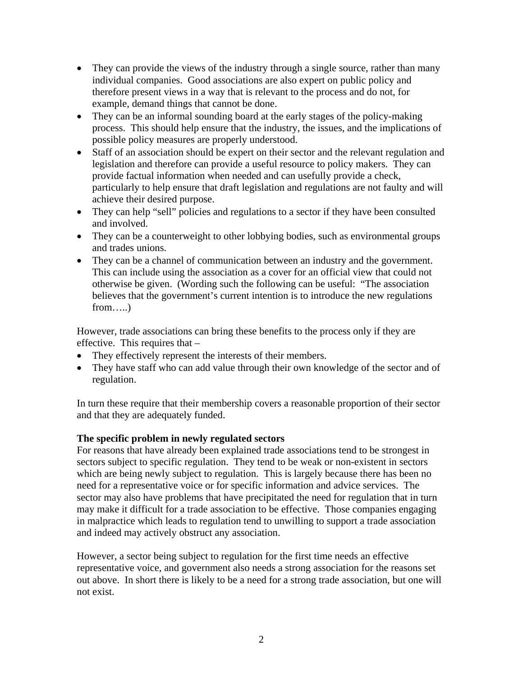- They can provide the views of the industry through a single source, rather than many individual companies. Good associations are also expert on public policy and therefore present views in a way that is relevant to the process and do not, for example, demand things that cannot be done.
- They can be an informal sounding board at the early stages of the policy-making process. This should help ensure that the industry, the issues, and the implications of possible policy measures are properly understood.
- Staff of an association should be expert on their sector and the relevant regulation and legislation and therefore can provide a useful resource to policy makers. They can provide factual information when needed and can usefully provide a check, particularly to help ensure that draft legislation and regulations are not faulty and will achieve their desired purpose.
- They can help "sell" policies and regulations to a sector if they have been consulted and involved.
- They can be a counterweight to other lobbying bodies, such as environmental groups and trades unions.
- They can be a channel of communication between an industry and the government. This can include using the association as a cover for an official view that could not otherwise be given. (Wording such the following can be useful: "The association believes that the government's current intention is to introduce the new regulations from…..)

However, trade associations can bring these benefits to the process only if they are effective. This requires that –

- They effectively represent the interests of their members.
- They have staff who can add value through their own knowledge of the sector and of regulation.

In turn these require that their membership covers a reasonable proportion of their sector and that they are adequately funded.

# **The specific problem in newly regulated sectors**

For reasons that have already been explained trade associations tend to be strongest in sectors subject to specific regulation. They tend to be weak or non-existent in sectors which are being newly subject to regulation. This is largely because there has been no need for a representative voice or for specific information and advice services. The sector may also have problems that have precipitated the need for regulation that in turn may make it difficult for a trade association to be effective. Those companies engaging in malpractice which leads to regulation tend to unwilling to support a trade association and indeed may actively obstruct any association.

However, a sector being subject to regulation for the first time needs an effective representative voice, and government also needs a strong association for the reasons set out above. In short there is likely to be a need for a strong trade association, but one will not exist.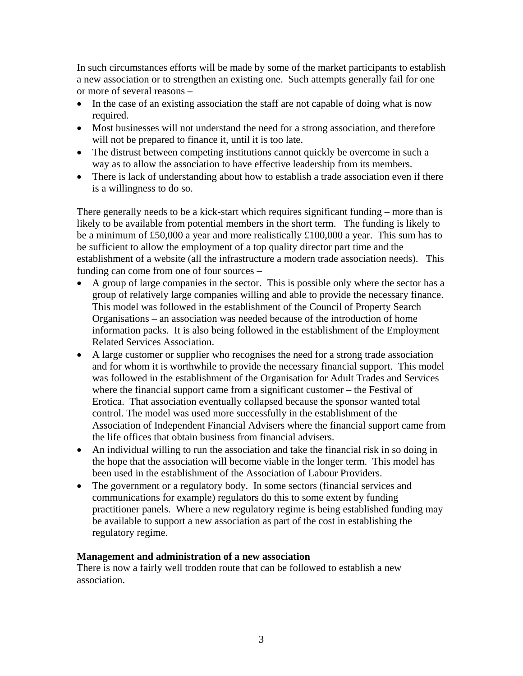In such circumstances efforts will be made by some of the market participants to establish a new association or to strengthen an existing one. Such attempts generally fail for one or more of several reasons –

- In the case of an existing association the staff are not capable of doing what is now required.
- Most businesses will not understand the need for a strong association, and therefore will not be prepared to finance it, until it is too late.
- The distrust between competing institutions cannot quickly be overcome in such a way as to allow the association to have effective leadership from its members.
- There is lack of understanding about how to establish a trade association even if there is a willingness to do so.

There generally needs to be a kick-start which requires significant funding – more than is likely to be available from potential members in the short term. The funding is likely to be a minimum of £50,000 a year and more realistically £100,000 a year. This sum has to be sufficient to allow the employment of a top quality director part time and the establishment of a website (all the infrastructure a modern trade association needs). This funding can come from one of four sources –

- A group of large companies in the sector. This is possible only where the sector has a group of relatively large companies willing and able to provide the necessary finance. This model was followed in the establishment of the Council of Property Search Organisations – an association was needed because of the introduction of home information packs. It is also being followed in the establishment of the Employment Related Services Association.
- A large customer or supplier who recognises the need for a strong trade association and for whom it is worthwhile to provide the necessary financial support. This model was followed in the establishment of the Organisation for Adult Trades and Services where the financial support came from a significant customer – the Festival of Erotica. That association eventually collapsed because the sponsor wanted total control. The model was used more successfully in the establishment of the Association of Independent Financial Advisers where the financial support came from the life offices that obtain business from financial advisers.
- An individual willing to run the association and take the financial risk in so doing in the hope that the association will become viable in the longer term. This model has been used in the establishment of the Association of Labour Providers.
- The government or a regulatory body. In some sectors (financial services and communications for example) regulators do this to some extent by funding practitioner panels. Where a new regulatory regime is being established funding may be available to support a new association as part of the cost in establishing the regulatory regime.

## **Management and administration of a new association**

There is now a fairly well trodden route that can be followed to establish a new association.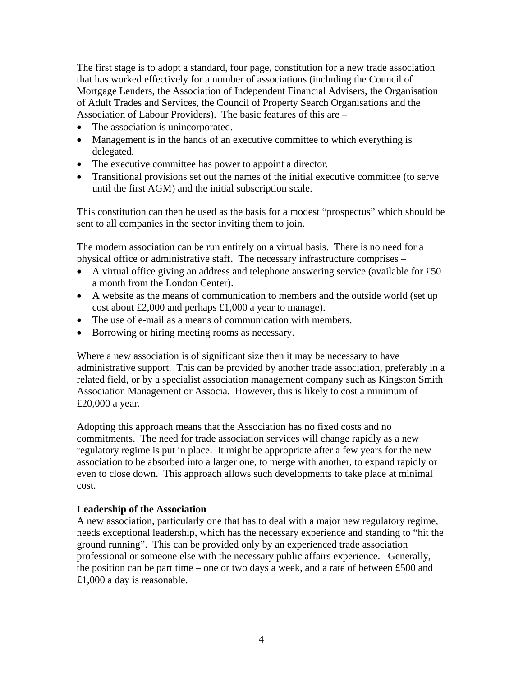The first stage is to adopt a standard, four page, constitution for a new trade association that has worked effectively for a number of associations (including the Council of Mortgage Lenders, the Association of Independent Financial Advisers, the Organisation of Adult Trades and Services, the Council of Property Search Organisations and the Association of Labour Providers). The basic features of this are –

- The association is unincorporated.
- Management is in the hands of an executive committee to which everything is delegated.
- The executive committee has power to appoint a director.
- Transitional provisions set out the names of the initial executive committee (to serve until the first AGM) and the initial subscription scale.

This constitution can then be used as the basis for a modest "prospectus" which should be sent to all companies in the sector inviting them to join.

The modern association can be run entirely on a virtual basis. There is no need for a physical office or administrative staff. The necessary infrastructure comprises –

- A virtual office giving an address and telephone answering service (available for £50 a month from the London Center).
- A website as the means of communication to members and the outside world (set up cost about £2,000 and perhaps £1,000 a year to manage).
- The use of e-mail as a means of communication with members.
- Borrowing or hiring meeting rooms as necessary.

Where a new association is of significant size then it may be necessary to have administrative support. This can be provided by another trade association, preferably in a related field, or by a specialist association management company such as Kingston Smith Association Management or Associa. However, this is likely to cost a minimum of £20,000 a year.

Adopting this approach means that the Association has no fixed costs and no commitments. The need for trade association services will change rapidly as a new regulatory regime is put in place. It might be appropriate after a few years for the new association to be absorbed into a larger one, to merge with another, to expand rapidly or even to close down. This approach allows such developments to take place at minimal cost.

#### **Leadership of the Association**

A new association, particularly one that has to deal with a major new regulatory regime, needs exceptional leadership, which has the necessary experience and standing to "hit the ground running". This can be provided only by an experienced trade association professional or someone else with the necessary public affairs experience. Generally, the position can be part time – one or two days a week, and a rate of between £500 and £1,000 a day is reasonable.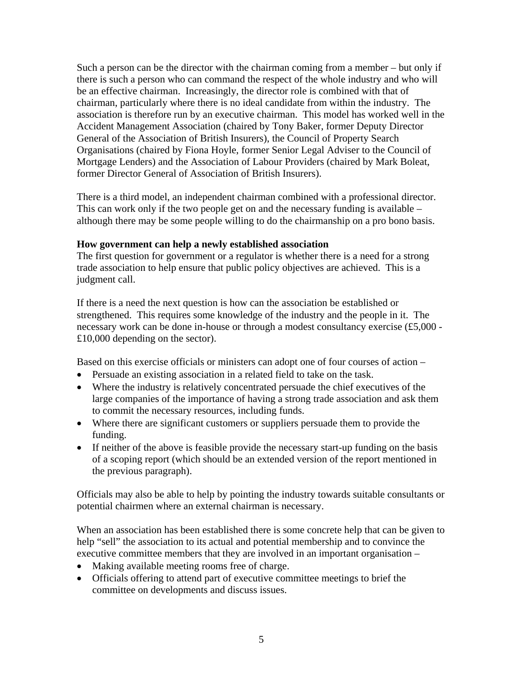Such a person can be the director with the chairman coming from a member – but only if there is such a person who can command the respect of the whole industry and who will be an effective chairman. Increasingly, the director role is combined with that of chairman, particularly where there is no ideal candidate from within the industry. The association is therefore run by an executive chairman. This model has worked well in the Accident Management Association (chaired by Tony Baker, former Deputy Director General of the Association of British Insurers), the Council of Property Search Organisations (chaired by Fiona Hoyle, former Senior Legal Adviser to the Council of Mortgage Lenders) and the Association of Labour Providers (chaired by Mark Boleat, former Director General of Association of British Insurers).

There is a third model, an independent chairman combined with a professional director. This can work only if the two people get on and the necessary funding is available – although there may be some people willing to do the chairmanship on a pro bono basis.

#### **How government can help a newly established association**

The first question for government or a regulator is whether there is a need for a strong trade association to help ensure that public policy objectives are achieved. This is a judgment call.

If there is a need the next question is how can the association be established or strengthened. This requires some knowledge of the industry and the people in it. The necessary work can be done in-house or through a modest consultancy exercise (£5,000 - £10,000 depending on the sector).

Based on this exercise officials or ministers can adopt one of four courses of action –

- Persuade an existing association in a related field to take on the task.
- Where the industry is relatively concentrated persuade the chief executives of the large companies of the importance of having a strong trade association and ask them to commit the necessary resources, including funds.
- Where there are significant customers or suppliers persuade them to provide the funding.
- If neither of the above is feasible provide the necessary start-up funding on the basis of a scoping report (which should be an extended version of the report mentioned in the previous paragraph).

Officials may also be able to help by pointing the industry towards suitable consultants or potential chairmen where an external chairman is necessary.

When an association has been established there is some concrete help that can be given to help "sell" the association to its actual and potential membership and to convince the executive committee members that they are involved in an important organisation –

- Making available meeting rooms free of charge.
- Officials offering to attend part of executive committee meetings to brief the committee on developments and discuss issues.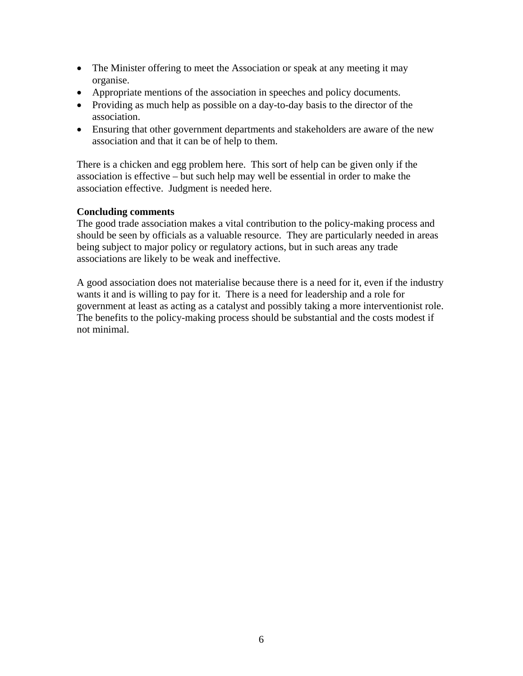- The Minister offering to meet the Association or speak at any meeting it may organise.
- Appropriate mentions of the association in speeches and policy documents.
- Providing as much help as possible on a day-to-day basis to the director of the association.
- Ensuring that other government departments and stakeholders are aware of the new association and that it can be of help to them.

There is a chicken and egg problem here. This sort of help can be given only if the association is effective – but such help may well be essential in order to make the association effective. Judgment is needed here.

#### **Concluding comments**

The good trade association makes a vital contribution to the policy-making process and should be seen by officials as a valuable resource. They are particularly needed in areas being subject to major policy or regulatory actions, but in such areas any trade associations are likely to be weak and ineffective.

A good association does not materialise because there is a need for it, even if the industry wants it and is willing to pay for it. There is a need for leadership and a role for government at least as acting as a catalyst and possibly taking a more interventionist role. The benefits to the policy-making process should be substantial and the costs modest if not minimal.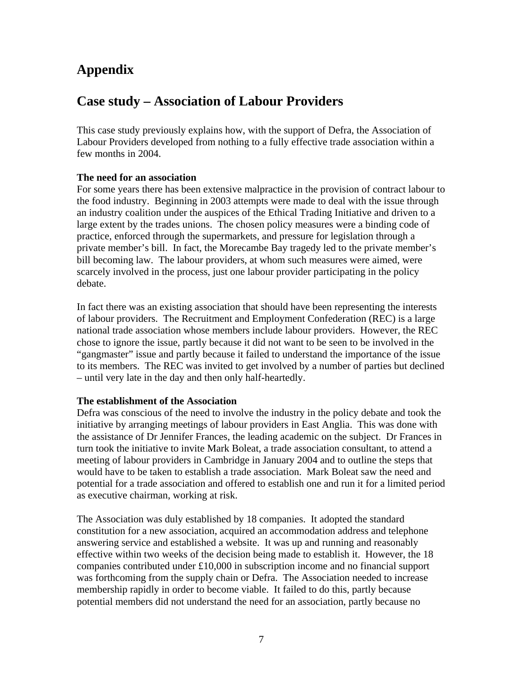# **Appendix**

# **Case study – Association of Labour Providers**

This case study previously explains how, with the support of Defra, the Association of Labour Providers developed from nothing to a fully effective trade association within a few months in 2004.

## **The need for an association**

For some years there has been extensive malpractice in the provision of contract labour to the food industry. Beginning in 2003 attempts were made to deal with the issue through an industry coalition under the auspices of the Ethical Trading Initiative and driven to a large extent by the trades unions. The chosen policy measures were a binding code of practice, enforced through the supermarkets, and pressure for legislation through a private member's bill. In fact, the Morecambe Bay tragedy led to the private member's bill becoming law. The labour providers, at whom such measures were aimed, were scarcely involved in the process, just one labour provider participating in the policy debate.

In fact there was an existing association that should have been representing the interests of labour providers. The Recruitment and Employment Confederation (REC) is a large national trade association whose members include labour providers. However, the REC chose to ignore the issue, partly because it did not want to be seen to be involved in the "gangmaster" issue and partly because it failed to understand the importance of the issue to its members. The REC was invited to get involved by a number of parties but declined – until very late in the day and then only half-heartedly.

## **The establishment of the Association**

Defra was conscious of the need to involve the industry in the policy debate and took the initiative by arranging meetings of labour providers in East Anglia. This was done with the assistance of Dr Jennifer Frances, the leading academic on the subject. Dr Frances in turn took the initiative to invite Mark Boleat, a trade association consultant, to attend a meeting of labour providers in Cambridge in January 2004 and to outline the steps that would have to be taken to establish a trade association. Mark Boleat saw the need and potential for a trade association and offered to establish one and run it for a limited period as executive chairman, working at risk.

The Association was duly established by 18 companies. It adopted the standard constitution for a new association, acquired an accommodation address and telephone answering service and established a website. It was up and running and reasonably effective within two weeks of the decision being made to establish it. However, the 18 companies contributed under £10,000 in subscription income and no financial support was forthcoming from the supply chain or Defra. The Association needed to increase membership rapidly in order to become viable. It failed to do this, partly because potential members did not understand the need for an association, partly because no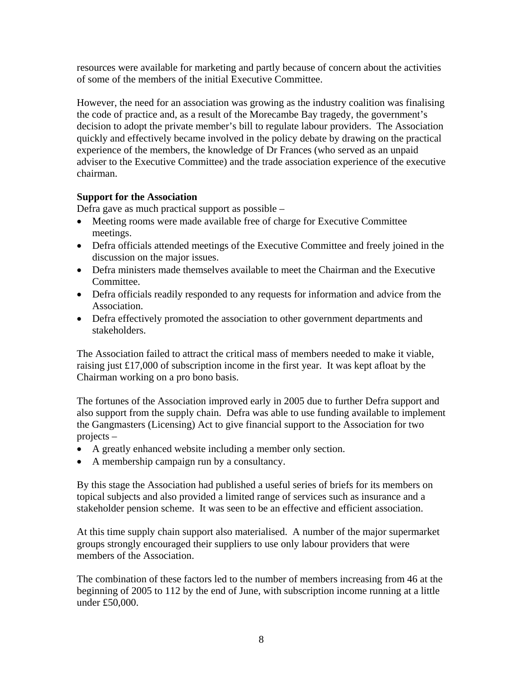resources were available for marketing and partly because of concern about the activities of some of the members of the initial Executive Committee.

However, the need for an association was growing as the industry coalition was finalising the code of practice and, as a result of the Morecambe Bay tragedy, the government's decision to adopt the private member's bill to regulate labour providers. The Association quickly and effectively became involved in the policy debate by drawing on the practical experience of the members, the knowledge of Dr Frances (who served as an unpaid adviser to the Executive Committee) and the trade association experience of the executive chairman.

## **Support for the Association**

Defra gave as much practical support as possible –

- Meeting rooms were made available free of charge for Executive Committee meetings.
- Defra officials attended meetings of the Executive Committee and freely joined in the discussion on the major issues.
- Defra ministers made themselves available to meet the Chairman and the Executive Committee.
- Defra officials readily responded to any requests for information and advice from the Association.
- Defra effectively promoted the association to other government departments and stakeholders.

The Association failed to attract the critical mass of members needed to make it viable, raising just £17,000 of subscription income in the first year. It was kept afloat by the Chairman working on a pro bono basis.

The fortunes of the Association improved early in 2005 due to further Defra support and also support from the supply chain. Defra was able to use funding available to implement the Gangmasters (Licensing) Act to give financial support to the Association for two projects –

- A greatly enhanced website including a member only section.
- A membership campaign run by a consultancy.

By this stage the Association had published a useful series of briefs for its members on topical subjects and also provided a limited range of services such as insurance and a stakeholder pension scheme. It was seen to be an effective and efficient association.

At this time supply chain support also materialised. A number of the major supermarket groups strongly encouraged their suppliers to use only labour providers that were members of the Association.

The combination of these factors led to the number of members increasing from 46 at the beginning of 2005 to 112 by the end of June, with subscription income running at a little under £50,000.